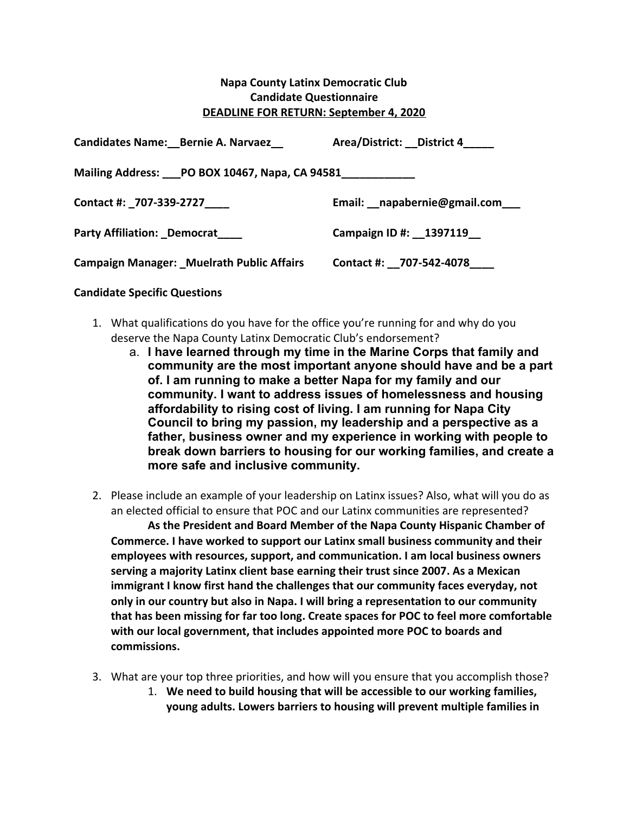## **Napa County Latinx Democratic Club Candidate Questionnaire DEADLINE FOR RETURN: September 4, 2020**

| <b>Candidates Name: Bernie A. Narvaez</b>        | Area/District: District 4         |
|--------------------------------------------------|-----------------------------------|
| Mailing Address: PO BOX 10467, Napa, CA 94581    |                                   |
| Contact #: _707-339-2727____                     | Email: __ napabernie@gmail.com___ |
| <b>Party Affiliation: Democrat</b>               | Campaign ID #: 1397119            |
| <b>Campaign Manager: Muelrath Public Affairs</b> | Contact #: 707-542-4078           |

## **Candidate Specific Questions**

- 1. What qualifications do you have for the office you're running for and why do you deserve the Napa County Latinx Democratic Club's endorsement?
	- a. **I have learned through my time in the Marine Corps that family and community are the most important anyone should have and be a part of. I am running to make a better Napa for my family and our community. I want to address issues of homelessness and housing affordability to rising cost of living. I am running for Napa City Council to bring my passion, my leadership and a perspective as a father, business owner and my experience in working with people to break down barriers to housing for our working families, and create a more safe and inclusive community.**
- 2. Please include an example of your leadership on Latinx issues? Also, what will you do as an elected official to ensure that POC and our Latinx communities are represented?

**As the President and Board Member of the Napa County Hispanic Chamber of Commerce. I have worked to support our Latinx small business community and their employees with resources, support, and communication. I am local business owners serving a majority Latinx client base earning their trust since 2007. As a Mexican immigrant I know first hand the challenges that our community faces everyday, not only in our country but also in Napa. I will bring a representation to our community that has been missing for far too long. Create spaces for POC to feel more comfortable with our local government, that includes appointed more POC to boards and commissions.**

- 3. What are your top three priorities, and how will you ensure that you accomplish those?
	- 1. **We need to build housing that will be accessible to our working families, young adults. Lowers barriers to housing will prevent multiple families in**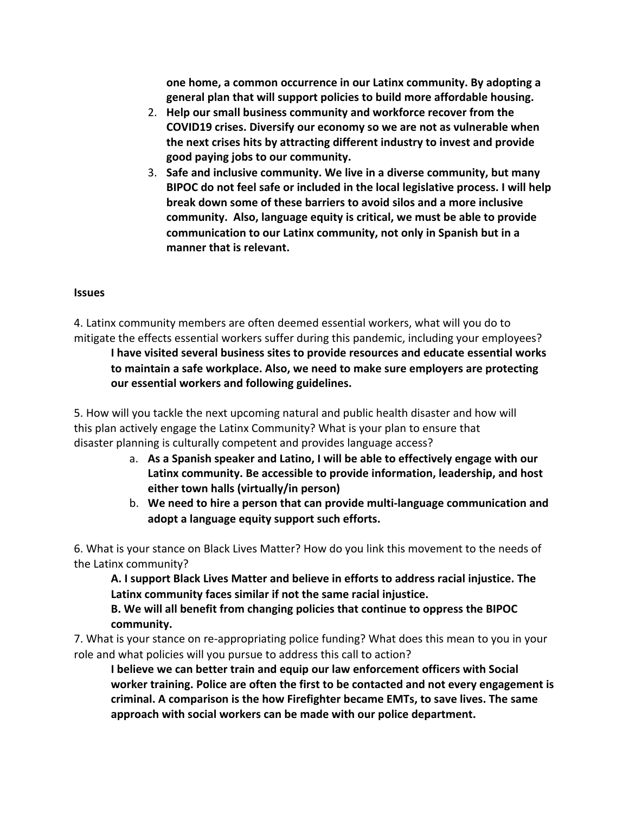**one home, a common occurrence in our Latinx community. By adopting a general plan that will support policies to build more affordable housing.**

- 2. **Help our small business community and workforce recover from the COVID19 crises. Diversify our economy so we are not as vulnerable when the next crises hits by attracting different industry to invest and provide good paying jobs to our community.**
- 3. **Safe and inclusive community. We live in a diverse community, but many BIPOC do not feel safe or included in the local legislative process. I will help break down some of these barriers to avoid silos and a more inclusive community. Also, language equity is critical, we must be able to provide communication to our Latinx community, not only in Spanish but in a manner that is relevant.**

## **Issues**

4. Latinx community members are often deemed essential workers, what will you do to mitigate the effects essential workers suffer during this pandemic, including your employees? **I have visited several business sites to provide resources and educate essential works to maintain a safe workplace. Also, we need to make sure employers are protecting our essential workers and following guidelines.**

5. How will you tackle the next upcoming natural and public health disaster and how will this plan actively engage the Latinx Community? What is your plan to ensure that disaster planning is culturally competent and provides language access?

- a. **As a Spanish speaker and Latino, I will be able to effectively engage with our Latinx community. Be accessible to provide information, leadership, and host either town halls (virtually/in person)**
- b. **We need to hire a person that can provide multi-language communication and adopt a language equity support such efforts.**

6. What is your stance on Black Lives Matter? How do you link this movement to the needs of the Latinx community?

**A. I support Black Lives Matter and believe in efforts to address racial injustice. The Latinx community faces similar if not the same racial injustice.**

**B. We will all benefit from changing policies that continue to oppress the BIPOC community.**

7. What is your stance on re-appropriating police funding? What does this mean to you in your role and what policies will you pursue to address this call to action?

**I believe we can better train and equip our law enforcement officers with Social worker training. Police are often the first to be contacted and not every engagement is criminal. A comparison is the how Firefighter became EMTs, to save lives. The same approach with social workers can be made with our police department.**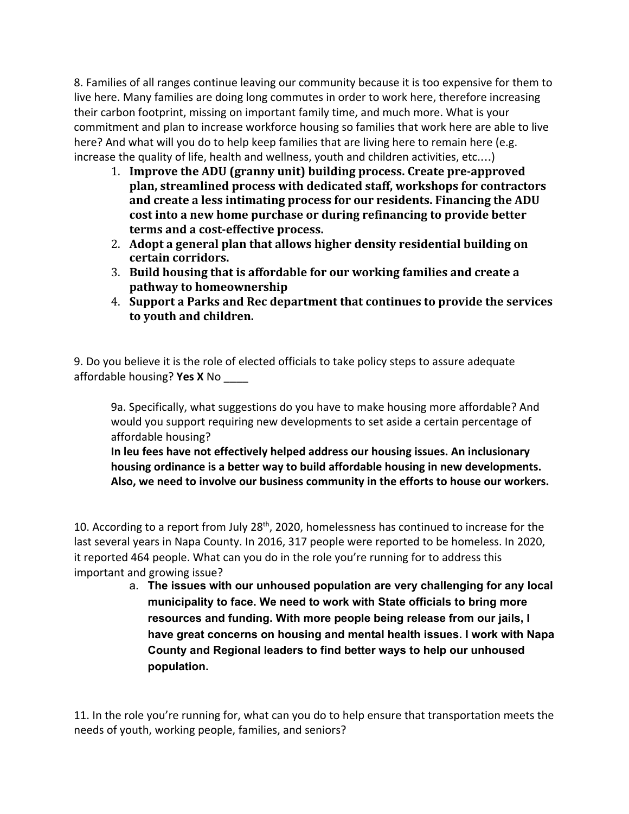8. Families of all ranges continue leaving our community because it is too expensive for them to live here. Many families are doing long commutes in order to work here, therefore increasing their carbon footprint, missing on important family time, and much more. What is your commitment and plan to increase workforce housing so families that work here are able to live here? And what will you do to help keep families that are living here to remain here (e.g. increase the quality of life, health and wellness, youth and children activities, etc.…)

- 1. **Improve the ADU (granny unit) building process. Create pre-approved plan, streamlined process with dedicated staff, workshops for contractors and create a less intimating process for our residents. Financing the ADU cost into a new home purchase or during refinancing to provide better terms and a cost-effective process.**
- 2. **Adopt a general plan that allows higher density residential building on certain corridors.**
- 3. **Build housing that is affordable for our working families and create a pathway to homeownership**
- 4. **Support a Parks and Rec department that continues to provide the services to youth and children.**

9. Do you believe it is the role of elected officials to take policy steps to assure adequate affordable housing? **Yes X** No \_\_\_\_

9a. Specifically, what suggestions do you have to make housing more affordable? And would you support requiring new developments to set aside a certain percentage of affordable housing?

**In leu fees have not effectively helped address our housing issues. An inclusionary housing ordinance is a better way to build affordable housing in new developments. Also, we need to involve our business community in the efforts to house our workers.**

10. According to a report from July 28<sup>th</sup>, 2020, homelessness has continued to increase for the last several years in Napa County. In 2016, 317 people were reported to be homeless. In 2020, it reported 464 people. What can you do in the role you're running for to address this important and growing issue?

a. **The issues with our unhoused population are very challenging for any local municipality to face. We need to work with State officials to bring more resources and funding. With more people being release from our jails, I have great concerns on housing and mental health issues. I work with Napa County and Regional leaders to find better ways to help our unhoused population.**

11. In the role you're running for, what can you do to help ensure that transportation meets the needs of youth, working people, families, and seniors?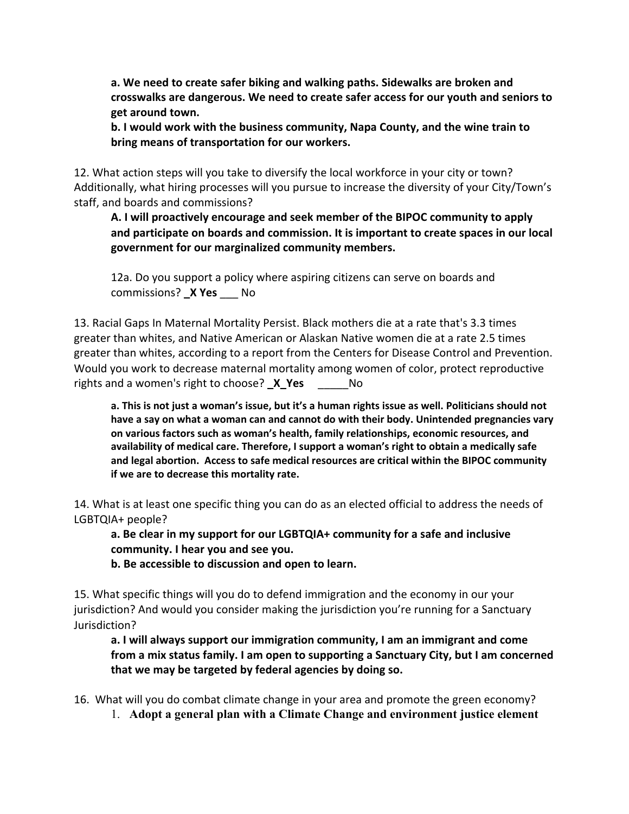**a. We need to create safer biking and walking paths. Sidewalks are broken and crosswalks are dangerous. We need to create safer access for our youth and seniors to get around town.**

**b. I would work with the business community, Napa County, and the wine train to bring means of transportation for our workers.**

12. What action steps will you take to diversify the local workforce in your city or town? Additionally, what hiring processes will you pursue to increase the diversity of your City/Town's staff, and boards and commissions?

**A. I will proactively encourage and seek member of the BIPOC community to apply and participate on boards and commission. It is important to create spaces in our local government for our marginalized community members.**

12a. Do you support a policy where aspiring citizens can serve on boards and commissions? **\_X Yes** \_\_\_ No

13. Racial Gaps In Maternal Mortality Persist. Black mothers die at a rate that's 3.3 times greater than whites, and Native American or Alaskan Native women die at a rate 2.5 times greater than whites, according to a report from the Centers for Disease Control and Prevention. Would you work to decrease maternal mortality among women of color, protect reproductive rights and a women's right to choose? **\_X\_Yes** \_\_\_\_\_\_\_\_\_\_\_\_\_\_\_\_\_\_\_\_\_\_\_\_\_\_\_\_\_\_\_\_\_\_

a. This is not just a woman's issue, but it's a human rights issue as well. Politicians should not **have a say on what a woman can and cannot do with their body. Unintended pregnancies vary on various factors such as woman's health, family relationships, economic resources, and availability of medical care. Therefore, I support a woman's right to obtain a medically safe and legal abortion. Access to safe medical resources are critical within the BIPOC community if we are to decrease this mortality rate.**

14. What is at least one specific thing you can do as an elected official to address the needs of LGBTQIA+ people?

**a. Be clear in my support for our LGBTQIA+ community for a safe and inclusive community. I hear you and see you.**

**b. Be accessible to discussion and open to learn.**

15. What specific things will you do to defend immigration and the economy in our your jurisdiction? And would you consider making the jurisdiction you're running for a Sanctuary Jurisdiction?

**a. I will always support our immigration community, I am an immigrant and come from a mix status family. I am open to supporting a Sanctuary City, but I am concerned that we may be targeted by federal agencies by doing so.**

16. What will you do combat climate change in your area and promote the green economy?

1. **Adopt a general plan with a Climate Change and environment justice element**